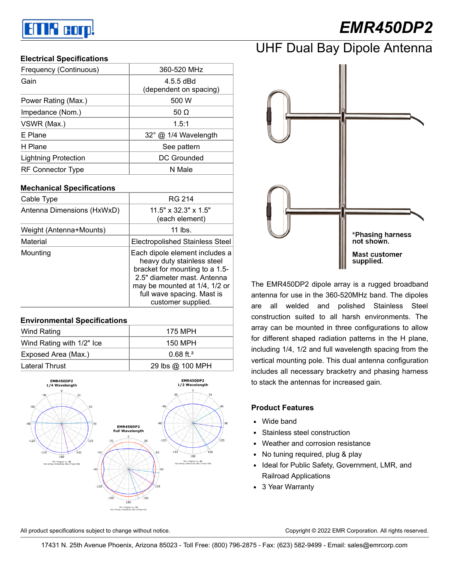# an R corp!

# *EMR450DP2*

#### **Electrical Specifications**

| Frequency (Continuous)      | 360-520 MHz                           |  |
|-----------------------------|---------------------------------------|--|
| Gain                        | $4.5.5$ dBd<br>(dependent on spacing) |  |
| Power Rating (Max.)         | 500 W                                 |  |
| Impedance (Nom.)            | 50 $\Omega$                           |  |
| VSWR (Max.)                 | 1.5:1                                 |  |
| E Plane                     | 32° @ 1/4 Wavelength                  |  |
| H Plane                     | See pattern                           |  |
| <b>Lightning Protection</b> | DC Grounded                           |  |
| RF Connector Type           | N Male                                |  |

#### **Mechanical Specifications**

| Cable Type                 | RG 214                                                                                                                                                                                                             |  |
|----------------------------|--------------------------------------------------------------------------------------------------------------------------------------------------------------------------------------------------------------------|--|
| Antenna Dimensions (HxWxD) | $11.5" \times 32.3" \times 1.5"$<br>(each element)                                                                                                                                                                 |  |
| Weight (Antenna+Mounts)    | 11 lbs.                                                                                                                                                                                                            |  |
| Material                   | Electropolished Stainless Steel                                                                                                                                                                                    |  |
| Mounting                   | Each dipole element includes a<br>heavy duty stainless steel<br>bracket for mounting to a 1.5-<br>2.5" diameter mast. Antenna<br>may be mounted at 1/4, 1/2 or<br>full wave spacing. Mast is<br>customer supplied. |  |

### **Environmental Specifications** Wind Rating **175 MPH** Wind Rating with 1/2" Ice  $\vert$  150 MPH Exposed Area (Max.) and the control of the U.68 ft.<sup>2</sup> Lateral Thrust  $\vert$  29 lbs @ 100 MPH





The EMR450DP2 dipole array is a rugged broadband antenna for use in the 360-520MHz band. The dipoles are all welded and polished Stainless Steel construction suited to all harsh environments. The array can be mounted in three configurations to allow for different shaped radiation patterns in the H plane, including 1/4, 1/2 and full wavelength spacing from the vertical mounting pole. This dual antenna configuration includes all necessary bracketry and phasing harness to stack the antennas for increased gain.

#### **Product Features**

- Wide band
- Stainless steel construction
- Weather and corrosion resistance
- No tuning required, plug & play
- Ideal for Public Safety, Government, LMR, and Railroad Applications
- 3 Year Warranty

All product specifications subject to change without notice. Copyright © 2022 EMR Corporation. All rights reserved.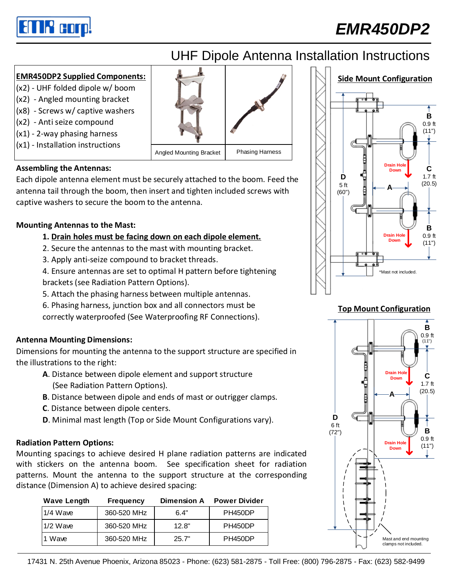

## *EMR450DP2*

## UHF Dipole Antenna Installation Instructions

### **EMR450DP2 Supplied Components:**

- (x2) UHF folded dipole w/ boom (x2) - Angled mounting bracket
- (x8) Screws w/ captive washers
- (x2) Anti seize compound
- (x1) 2-way phasing harness
- (x1) Installation instructions



### **Assembling the Antennas:**

Each dipole antenna element must be securely attached to the boom. Feed the antenna tail through the boom, then insert and tighten included screws with captive washers to secure the boom to the antenna.

### **Mounting Antennas to the Mast:**

### **1. Drain holes must be facing down on each dipole element.**

- 2. Secure the antennas to the mast with mounting bracket.
- 3. Apply anti-seize compound to bracket threads.

4. Ensure antennas are set to optimal H pattern before tightening brackets (see Radiation Pattern Options).

- 5. Attach the phasing harness between multiple antennas.
- 6. Phasing harness, junction box and all connectors must be

correctly waterproofed (See Waterproofing RF Connections).

### **Antenna Mounting Dimensions:**

Dimensions for mounting the antenna to the support structure are specified in the illustrations to the right:

- **A**. Distance between dipole element and support structure (See Radiation Pattern Options).
- **B**. Distance between dipole and ends of mast or outrigger clamps.
- **C**. Distance between dipole centers.
- **D**. Minimal mast length (Top or Side Mount Configurations vary).

#### **Radiation Pattern Options:**

Mounting spacings to achieve desired H plane radiation patterns are indicated with stickers on the antenna boom. See specification sheet for radiation patterns. Mount the antenna to the support structure at the corresponding distance (Dimension A) to achieve desired spacing:

| <b>Wave Length</b> | <b>Frequency</b> | <b>Dimension A</b> | <b>Power Divider</b> |
|--------------------|------------------|--------------------|----------------------|
| $1/4$ Wave         | 360-520 MHz      | 6.4"               | PH450DP              |
| $1/2$ Wave         | 360-520 MHz      | 12.8"              | PH450DP              |
| 1 Wave             | 360-520 MHz      | 25.7"              | PH450DP              |



#### **Top Mount Configuration**